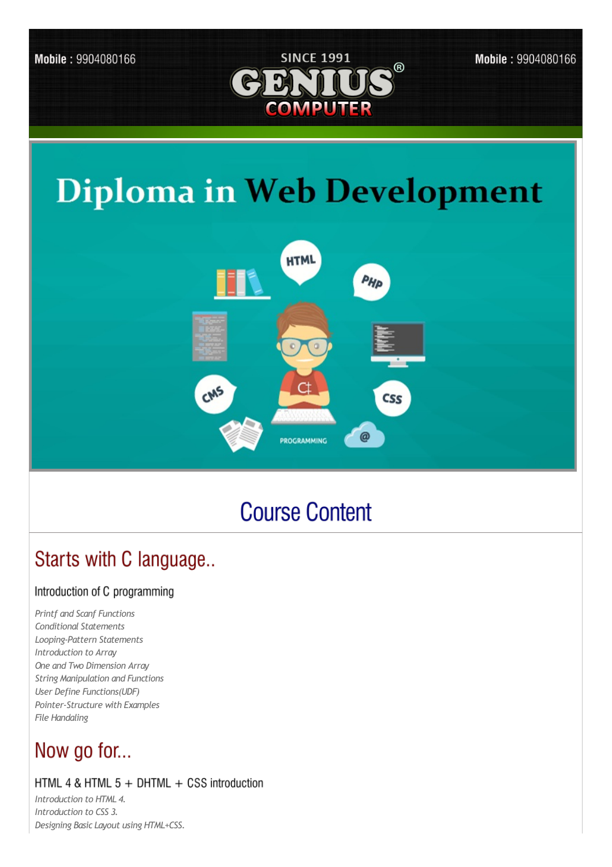

Mobile: 9904080166

# **Diploma in Web Development**



## **Course Content**

### Starts with C language..

#### Introduction of C programming

**Printf and Scanf Functions Conditional Statements** Looping-Pattern Statements Introduction to Array One and Two Dimension Array **String Manipulation and Functions** User Define Functions(UDF) Pointer-Structure with Examples File Handaling

### Now go for...

#### HTML 4 & HTML  $5 +$  DHTML  $+$  CSS introduction

Introduction to HTML 4. Introduction to CSS 3. Designing Basic Layout using HTML+CSS.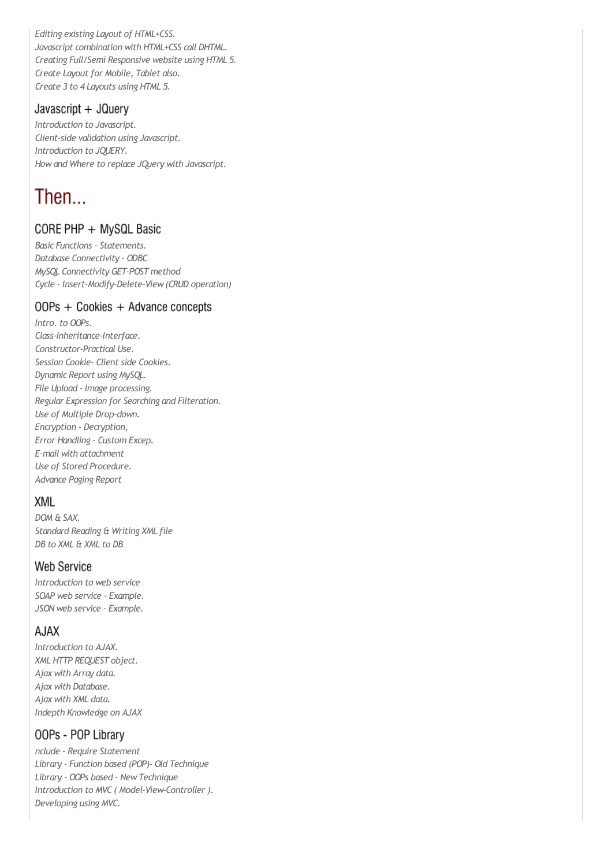*Editing existing Layout of HTML+CSS. Javascript combination with HTML+CSS call DHTML. Creating Full/Semi Responsive website using HTML 5. Create Layout for Mobile, Tablet also. Create 3 to 4 Layouts using HTML 5.*

#### Javascript  $+$  JQuery

*Introduction to Javascript. Client-side validation using Javascript. Introduction to JQUERY. Howand Where to replace JQuery with Javascript.*

### Then...

#### CORE PHP + MySQL Basic

*Basic Functions - Statements. Database Connectivity - ODBC MySQL Connectivity GET-POST method Cycle - Insert-Modify-Delete-View(CRUD operation)*

#### OOPs + Cookies + Advance concepts

*Intro. to OOPs. Class-Inheritance-Interface. Constructor-Practical Use. Session Cookie- Client side Cookies. Dynamic Report using MySQL. File Upload - Image processing. Regular Expression for Searching and Filteration. Use of Multiple Drop-down. Encryption - Decryption, Error Handling - Custom Excep. E-mail with attachment Use of Stored Procedure. Advance Paging Report*

#### **XML**

*DOM & SAX. Standard Reading & Writing XML file DB to XML & XML to DB*

#### **Web Service**

*Introduction to web service SOAP web service - Example. JSON web service - Example.*

#### A.IAX

*Introduction to AJAX. XML HTTP REQUEST object. Ajax with Array data. Ajax with Database. Ajax with XML data. Indepth Knowledge on AJAX*

#### OOPs - POP Library

*nclude - Require Statement Library - Function based (POP)- Old Technique Library - OOPs based - NewTechnique Introduction to MVC ( Model-View-Controller ). Developing using MVC.*